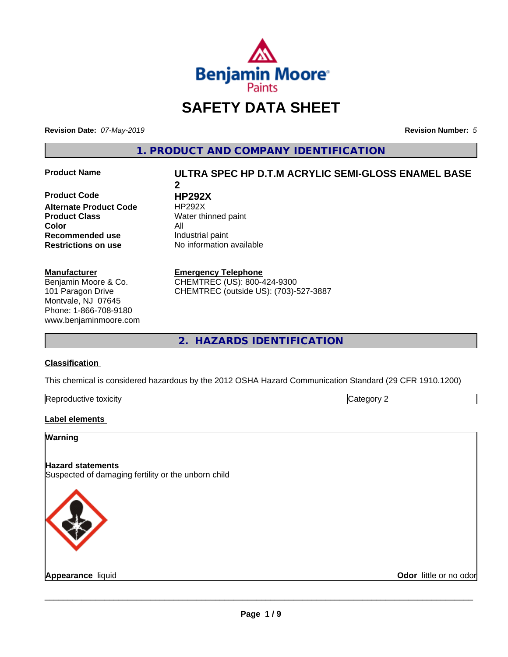

# **SAFETY DATA SHEET**

**Revision Date:** *07-May-2019* **Revision Number:** *5*

**1. PRODUCT AND COMPANY IDENTIFICATION**

**Product Code HP292X Alternate Product Code** HP292X **Product Class** Water thinned paint **Color** All **Recommended use** Industrial paint **Restrictions on use** No information available

#### **Manufacturer**

Benjamin Moore & Co. 101 Paragon Drive Montvale, NJ 07645 Phone: 1-866-708-9180 www.benjaminmoore.com

# **Product Name ULTRA SPEC HP D.T.M ACRYLIC SEMI-GLOSS ENAMEL BASE 2**

**Emergency Telephone**

CHEMTREC (US): 800-424-9300 CHEMTREC (outside US): (703)-527-3887

**2. HAZARDS IDENTIFICATION**

#### **Classification**

This chemical is considered hazardous by the 2012 OSHA Hazard Communication Standard (29 CFR 1910.1200)

| toxicity<br>Repr.<br>oductive | ĸ<br>- - -<br>.ат<br>ιr<br>51 J L |
|-------------------------------|-----------------------------------|

#### **Label elements**

### **Warning**

**Hazard statements** Suspected of damaging fertility or the unborn child



**Appearance** liquid **Contract Contract Contract Contract Contract Contract Contract Contract Contract Contract Contract Contract Contract Contract Contract Contract Contract Contract Contract Contract Contract Contract Con**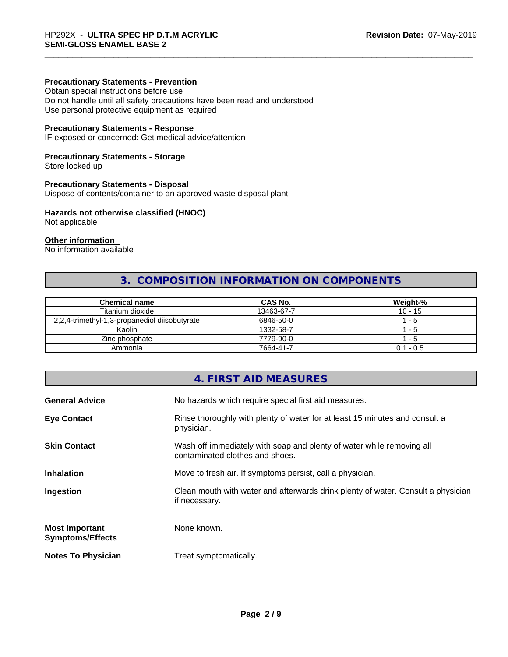#### **Precautionary Statements - Prevention**

Obtain special instructions before use Do not handle until all safety precautions have been read and understood Use personal protective equipment as required

#### **Precautionary Statements - Response**

IF exposed or concerned: Get medical advice/attention

#### **Precautionary Statements - Storage**

Store locked up

#### **Precautionary Statements - Disposal**

Dispose of contents/container to an approved waste disposal plant

#### **Hazards not otherwise classified (HNOC)**

Not applicable

## **Other information**

No information available

# **3. COMPOSITION INFORMATION ON COMPONENTS**

| <b>Chemical name</b>                          | CAS No.    | Weight-%    |
|-----------------------------------------------|------------|-------------|
| Titanium dioxide                              | 13463-67-7 | $10 - 15$   |
| 2,2,4-trimethyl-1,3-propanediol diisobutyrate | 6846-50-0  | - 5         |
| Kaolin                                        | 1332-58-7  | - 5         |
| Zinc phosphate                                | 7779-90-0  | - 5         |
| Ammonia                                       | 7664-41-7  | $0.1 - 0.5$ |

# **4. FIRST AID MEASURES**

| Rinse thoroughly with plenty of water for at least 15 minutes and consult a<br>physician.<br>Wash off immediately with soap and plenty of water while removing all<br>contaminated clothes and shoes.<br>Move to fresh air. If symptoms persist, call a physician.<br>Clean mouth with water and afterwards drink plenty of water. Consult a physician<br>if necessary.<br>None known.<br>Treat symptomatically. | <b>General Advice</b>                            | No hazards which require special first aid measures. |
|------------------------------------------------------------------------------------------------------------------------------------------------------------------------------------------------------------------------------------------------------------------------------------------------------------------------------------------------------------------------------------------------------------------|--------------------------------------------------|------------------------------------------------------|
|                                                                                                                                                                                                                                                                                                                                                                                                                  | <b>Eye Contact</b>                               |                                                      |
|                                                                                                                                                                                                                                                                                                                                                                                                                  | <b>Skin Contact</b>                              |                                                      |
|                                                                                                                                                                                                                                                                                                                                                                                                                  | <b>Inhalation</b>                                |                                                      |
|                                                                                                                                                                                                                                                                                                                                                                                                                  | Ingestion                                        |                                                      |
|                                                                                                                                                                                                                                                                                                                                                                                                                  | <b>Most Important</b><br><b>Symptoms/Effects</b> |                                                      |
|                                                                                                                                                                                                                                                                                                                                                                                                                  | <b>Notes To Physician</b>                        |                                                      |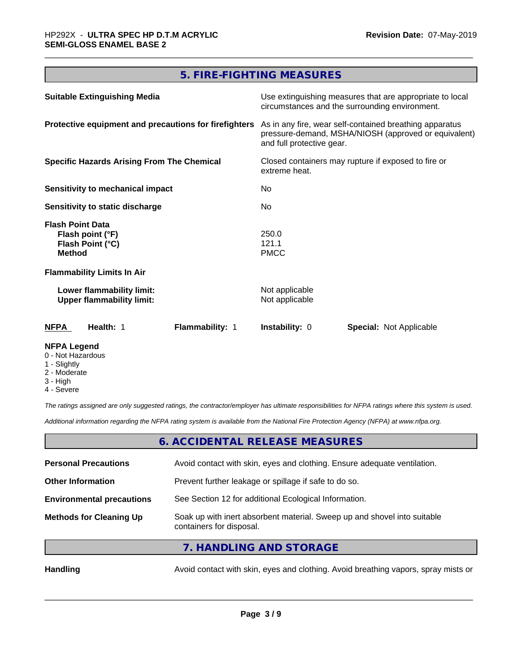# **5. FIRE-FIGHTING MEASURES**

| <b>Suitable Extinguishing Media</b>                                              | Use extinguishing measures that are appropriate to local<br>circumstances and the surrounding environment.                                   |  |
|----------------------------------------------------------------------------------|----------------------------------------------------------------------------------------------------------------------------------------------|--|
| Protective equipment and precautions for firefighters                            | As in any fire, wear self-contained breathing apparatus<br>pressure-demand, MSHA/NIOSH (approved or equivalent)<br>and full protective gear. |  |
| <b>Specific Hazards Arising From The Chemical</b>                                | Closed containers may rupture if exposed to fire or<br>extreme heat.                                                                         |  |
| Sensitivity to mechanical impact                                                 | No.                                                                                                                                          |  |
| Sensitivity to static discharge                                                  | No.                                                                                                                                          |  |
| <b>Flash Point Data</b><br>Flash point (°F)<br>Flash Point (°C)<br><b>Method</b> | 250.0<br>121.1<br><b>PMCC</b>                                                                                                                |  |
| <b>Flammability Limits In Air</b>                                                |                                                                                                                                              |  |
| Lower flammability limit:<br><b>Upper flammability limit:</b>                    | Not applicable<br>Not applicable                                                                                                             |  |
| <b>NFPA</b><br>Health: 1<br>Flammability: 1                                      | <b>Instability: 0</b><br><b>Special: Not Applicable</b>                                                                                      |  |
| <b>NFPA Legend</b>                                                               |                                                                                                                                              |  |

- 0 Not Hazardous
- 1 Slightly
- 2 Moderate
- 3 High
- 4 Severe

*The ratings assigned are only suggested ratings, the contractor/employer has ultimate responsibilities for NFPA ratings where this system is used.*

*Additional information regarding the NFPA rating system is available from the National Fire Protection Agency (NFPA) at www.nfpa.org.*

#### **6. ACCIDENTAL RELEASE MEASURES**

| <b>Personal Precautions</b>      | Avoid contact with skin, eyes and clothing. Ensure adequate ventilation.                             |
|----------------------------------|------------------------------------------------------------------------------------------------------|
| <b>Other Information</b>         | Prevent further leakage or spillage if safe to do so.                                                |
| <b>Environmental precautions</b> | See Section 12 for additional Ecological Information.                                                |
| <b>Methods for Cleaning Up</b>   | Soak up with inert absorbent material. Sweep up and shovel into suitable<br>containers for disposal. |
|                                  | $\overline{11111101110111010707001000}$                                                              |

**7. HANDLING AND STORAGE**

Handling **Handling** Avoid contact with skin, eyes and clothing. Avoid breathing vapors, spray mists or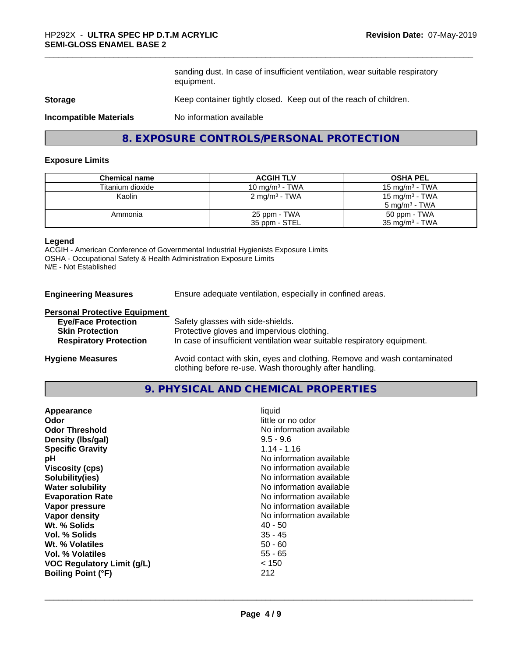sanding dust. In case of insufficient ventilation, wear suitable respiratory equipment.

#### **Storage** Keep container tightly closed. Keep out of the reach of children.

**Incompatible Materials** No information available

# **8. EXPOSURE CONTROLS/PERSONAL PROTECTION**

#### **Exposure Limits**

| <b>Chemical name</b> | <b>ACGIH TLV</b>          | <b>OSHA PEL</b>            |
|----------------------|---------------------------|----------------------------|
| Titanium dioxide     | 10 mg/m $3$ - TWA         | 15 mg/m $3$ - TWA          |
| Kaolin               | 2 mg/m <sup>3</sup> - TWA | 15 mg/m <sup>3</sup> - TWA |
|                      |                           | $5 \text{ ma/m}^3$ - TWA   |
| Ammonia              | 25 ppm - TWA              | 50 ppm - TWA               |
|                      | 35 ppm - STEL             | 35 mg/m $3$ - TWA          |

#### **Legend**

ACGIH - American Conference of Governmental Industrial Hygienists Exposure Limits OSHA - Occupational Safety & Health Administration Exposure Limits N/E - Not Established

**Engineering Measures** Ensure adequate ventilation, especially in confined areas.

clothing before re-use. Wash thoroughly after handling.

#### **Personal Protective Equipment**

| <b>Eye/Face Protection</b>    | Safety glasses with side-shields.                                        |
|-------------------------------|--------------------------------------------------------------------------|
| <b>Skin Protection</b>        | Protective gloves and impervious clothing.                               |
| <b>Respiratory Protection</b> | In case of insufficient ventilation wear suitable respiratory equipment. |
| <b>Hygiene Measures</b>       | Avoid contact with skin, eyes and clothing. Remove and wash contaminated |

#### **9. PHYSICAL AND CHEMICAL PROPERTIES**

| liquid<br>Appearance<br>little or no odor<br>Odor<br><b>Odor Threshold</b><br>Density (Ibs/gal)<br>$9.5 - 9.6$<br>$1.14 - 1.16$<br><b>Specific Gravity</b><br>рH<br><b>Viscosity (cps)</b><br>Solubility(ies)<br><b>Water solubility</b><br><b>Evaporation Rate</b><br>Vapor pressure<br>Vapor density<br>Wt. % Solids<br>$40 - 50$<br>$35 - 45$<br>Vol. % Solids<br>$50 - 60$<br>Wt. % Volatiles<br><b>Vol. % Volatiles</b><br>$55 - 65$<br>< 150<br><b>VOC Regulatory Limit (g/L)</b><br>212<br><b>Boiling Point (°F)</b> | No information available<br>No information available<br>No information available<br>No information available<br>No information available<br>No information available<br>No information available<br>No information available |
|-----------------------------------------------------------------------------------------------------------------------------------------------------------------------------------------------------------------------------------------------------------------------------------------------------------------------------------------------------------------------------------------------------------------------------------------------------------------------------------------------------------------------------|------------------------------------------------------------------------------------------------------------------------------------------------------------------------------------------------------------------------------|
|-----------------------------------------------------------------------------------------------------------------------------------------------------------------------------------------------------------------------------------------------------------------------------------------------------------------------------------------------------------------------------------------------------------------------------------------------------------------------------------------------------------------------------|------------------------------------------------------------------------------------------------------------------------------------------------------------------------------------------------------------------------------|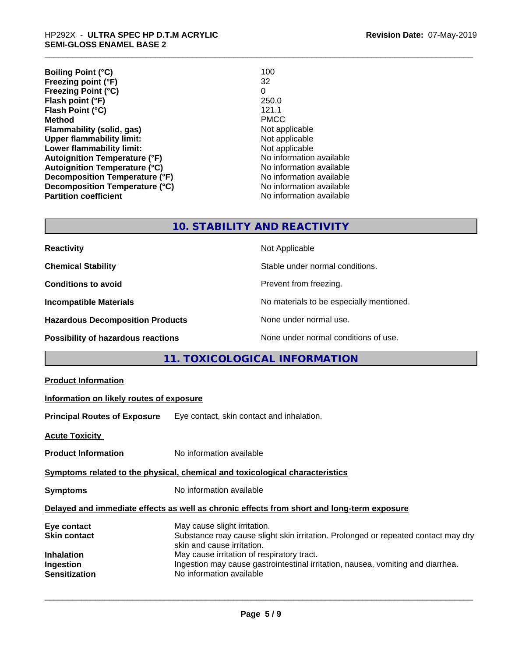| 100                      |
|--------------------------|
| 32                       |
| 0                        |
| 250.0                    |
| 121.1                    |
| <b>PMCC</b>              |
| Not applicable           |
| Not applicable           |
| Not applicable           |
| No information available |
| No information available |
| No information available |
| No information available |
| No information available |
|                          |

# **10. STABILITY AND REACTIVITY**

| <b>Reactivity</b>                         | Not Applicable                           |
|-------------------------------------------|------------------------------------------|
| <b>Chemical Stability</b>                 | Stable under normal conditions.          |
| <b>Conditions to avoid</b>                | Prevent from freezing.                   |
| <b>Incompatible Materials</b>             | No materials to be especially mentioned. |
| <b>Hazardous Decomposition Products</b>   | None under normal use.                   |
| <b>Possibility of hazardous reactions</b> | None under normal conditions of use.     |

# **11. TOXICOLOGICAL INFORMATION**

| <b>Product Information</b>                                                                 |                                                                                                                                                                                               |  |
|--------------------------------------------------------------------------------------------|-----------------------------------------------------------------------------------------------------------------------------------------------------------------------------------------------|--|
| Information on likely routes of exposure                                                   |                                                                                                                                                                                               |  |
| <b>Principal Routes of Exposure</b>                                                        | Eye contact, skin contact and inhalation.                                                                                                                                                     |  |
| <b>Acute Toxicity</b>                                                                      |                                                                                                                                                                                               |  |
| <b>Product Information</b>                                                                 | No information available                                                                                                                                                                      |  |
| Symptoms related to the physical, chemical and toxicological characteristics               |                                                                                                                                                                                               |  |
| <b>Symptoms</b>                                                                            | No information available                                                                                                                                                                      |  |
| Delayed and immediate effects as well as chronic effects from short and long-term exposure |                                                                                                                                                                                               |  |
| Eye contact<br><b>Skin contact</b><br><b>Inhalation</b>                                    | May cause slight irritation.<br>Substance may cause slight skin irritation. Prolonged or repeated contact may dry<br>skin and cause irritation.<br>May cause irritation of respiratory tract. |  |
| Ingestion<br><b>Sensitization</b>                                                          | Ingestion may cause gastrointestinal irritation, nausea, vomiting and diarrhea.<br>No information available                                                                                   |  |
|                                                                                            |                                                                                                                                                                                               |  |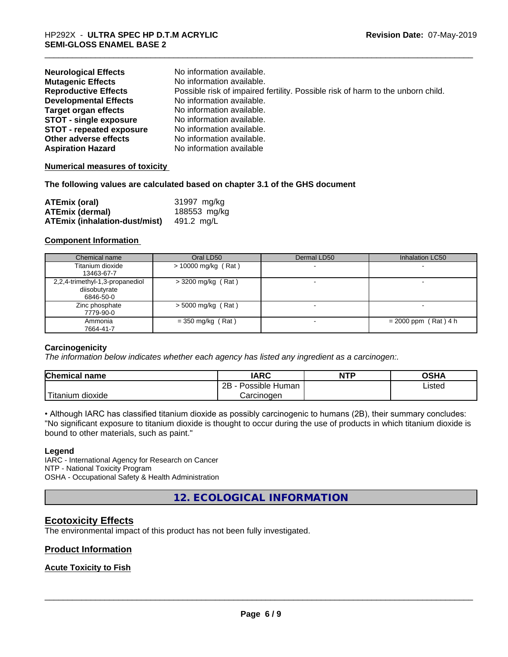| <b>Neurological Effects</b>     | No information available.                                                       |
|---------------------------------|---------------------------------------------------------------------------------|
| <b>Mutagenic Effects</b>        | No information available.                                                       |
| <b>Reproductive Effects</b>     | Possible risk of impaired fertility. Possible risk of harm to the unborn child. |
| <b>Developmental Effects</b>    | No information available.                                                       |
| <b>Target organ effects</b>     | No information available.                                                       |
| <b>STOT - single exposure</b>   | No information available.                                                       |
| <b>STOT - repeated exposure</b> | No information available.                                                       |
| Other adverse effects           | No information available.                                                       |
| <b>Aspiration Hazard</b>        | No information available                                                        |

#### **Numerical measures of toxicity**

#### **The following values are calculated based on chapter 3.1 of the GHS document**

| <b>ATEmix (oral)</b>                 | 31997 mg/kg  |
|--------------------------------------|--------------|
| <b>ATEmix (dermal)</b>               | 188553 mg/kg |
| <b>ATEmix (inhalation-dust/mist)</b> | 491.2 ma/L   |

#### **Component Information**

| Chemical name                   | Oral LD50             | Dermal LD50 | Inhalation LC50        |
|---------------------------------|-----------------------|-------------|------------------------|
| Titanium dioxide                | $> 10000$ mg/kg (Rat) |             |                        |
| 13463-67-7                      |                       |             |                        |
| 2,2,4-trimethyl-1,3-propanediol | $>$ 3200 mg/kg (Rat)  |             |                        |
| diisobutyrate                   |                       |             |                        |
| 6846-50-0                       |                       |             |                        |
| Zinc phosphate                  | $>$ 5000 mg/kg (Rat)  |             |                        |
| 7779-90-0                       |                       |             |                        |
| Ammonia                         | $=$ 350 mg/kg (Rat)   |             | $= 2000$ ppm (Rat) 4 h |
| 7664-41-7                       |                       |             |                        |

#### **Carcinogenicity**

*The information below indicateswhether each agency has listed any ingredient as a carcinogen:.*

| <b>Chemical name</b>  | <b>IARC</b>          | <b>NTP</b> | <b>OSHA</b> |
|-----------------------|----------------------|------------|-------------|
|                       | 2B<br>Possible Human |            | Listed      |
| Titanium<br>ı dioxide | Carcinoɑen           |            |             |

• Although IARC has classified titanium dioxide as possibly carcinogenic to humans (2B), their summary concludes: "No significant exposure to titanium dioxide is thought to occur during the use of products in which titanium dioxide is bound to other materials, such as paint."

#### **Legend**

IARC - International Agency for Research on Cancer NTP - National Toxicity Program OSHA - Occupational Safety & Health Administration

**12. ECOLOGICAL INFORMATION**

## **Ecotoxicity Effects**

The environmental impact of this product has not been fully investigated.

#### **Product Information**

#### **Acute Toxicity to Fish**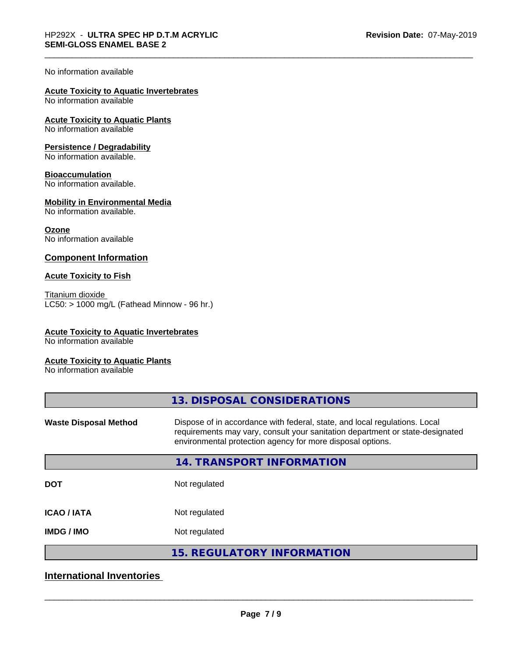#### No information available

# **Acute Toxicity to Aquatic Invertebrates**

No information available

**Acute Toxicity to Aquatic Plants** No information available

#### **Persistence / Degradability**

No information available.

#### **Bioaccumulation**

No information available.

#### **Mobility in Environmental Media**

No information available.

#### **Ozone**

No information available

#### **Component Information**

#### **Acute Toxicity to Fish**

Titanium dioxide  $LC50:$  > 1000 mg/L (Fathead Minnow - 96 hr.)

#### **Acute Toxicity to Aquatic Invertebrates**

No information available

#### **Acute Toxicity to Aquatic Plants**

No information available

| 13. DISPOSAL CONSIDERATIONS                                                                                                                                                                                               |
|---------------------------------------------------------------------------------------------------------------------------------------------------------------------------------------------------------------------------|
| Dispose of in accordance with federal, state, and local regulations. Local<br>requirements may vary, consult your sanitation department or state-designated<br>environmental protection agency for more disposal options. |
| 14. TRANSPORT INFORMATION                                                                                                                                                                                                 |
| Not regulated                                                                                                                                                                                                             |
| Not regulated                                                                                                                                                                                                             |
| Not regulated                                                                                                                                                                                                             |
| <b>15. REGULATORY INFORMATION</b>                                                                                                                                                                                         |
|                                                                                                                                                                                                                           |

# **International Inventories**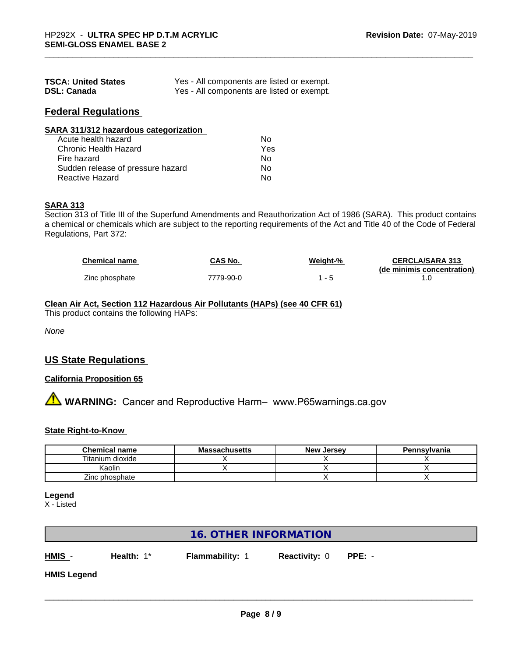| <b>TSCA: United States</b> | Yes - All components are listed or exempt. |
|----------------------------|--------------------------------------------|
| <b>DSL: Canada</b>         | Yes - All components are listed or exempt. |

# **Federal Regulations**

| SARA 311/312 hazardous categorization |     |  |
|---------------------------------------|-----|--|
| Acute health hazard                   | Nο  |  |
| Chronic Health Hazard                 | Yes |  |
| Fire hazard                           | No. |  |

Sudden release of pressure hazard No Reactive Hazard No. No. 2014

# **SARA 313**

Section 313 of Title III of the Superfund Amendments and Reauthorization Act of 1986 (SARA). This product contains a chemical or chemicals which are subject to the reporting requirements of the Act and Title 40 of the Code of Federal Regulations, Part 372:

| <b>Chemical name</b> | CAS No.   | Weight-% | <b>CERCLA/SARA 313</b>     |
|----------------------|-----------|----------|----------------------------|
|                      |           |          | (de minimis concentration) |
| Zinc phosphate       | 7779-90-0 |          |                            |

#### **Clean Air Act,Section 112 Hazardous Air Pollutants (HAPs) (see 40 CFR 61)**

This product contains the following HAPs:

*None*

# **US State Regulations**

### **California Proposition 65**

**AVIMARNING:** Cancer and Reproductive Harm– www.P65warnings.ca.gov

#### **State Right-to-Know**

| <b>Chemical name</b> | <b>Massachusetts</b> | <b>New Jersey</b> | Pennsylvania |
|----------------------|----------------------|-------------------|--------------|
| Titanium dioxide     |                      |                   |              |
| Kaolin               |                      |                   |              |
| Zinc phosphate       |                      |                   |              |

#### **Legend**

X - Listed

### **16. OTHER INFORMATION**

**HMIS** - **Health:** 1\* **Flammability:** 1 **Reactivity:** 0 **PPE:** -

**HMIS Legend**